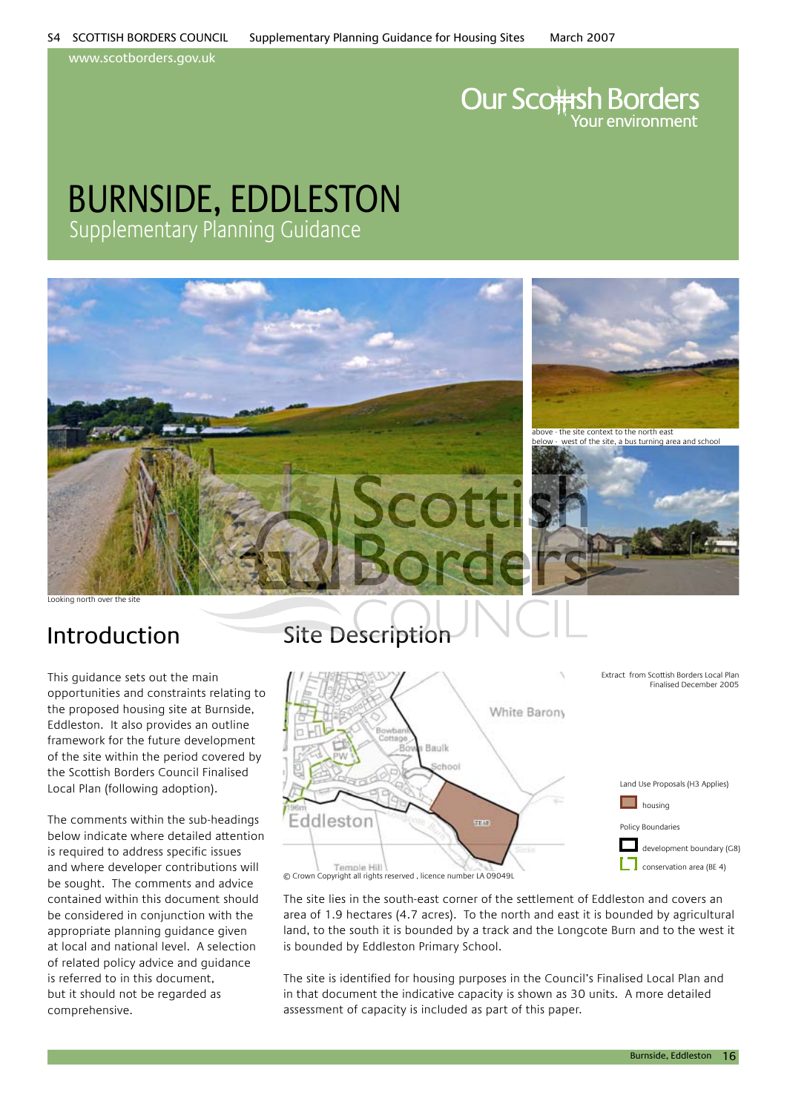www.scotborders.gov.uk

# **Our Scottsh Borders**

### burnside, eddleston Supplementary Planning Guidance



Looking north over the site

This guidance sets out the main opportunities and constraints relating to the proposed housing site at Burnside, Eddleston. It also provides an outline framework for the future development of the site within the period covered by the Scottish Borders Council Finalised Local Plan (following adoption).

The comments within the sub-headings below indicate where detailed attention is required to address specific issues and where developer contributions will be sought. The comments and advice contained within this document should be considered in conjunction with the appropriate planning guidance given at local and national level. A selection of related policy advice and guidance is referred to in this document, but it should not be regarded as comprehensive.

### Introduction Site Description



The site lies in the south-east corner of the settlement of Eddleston and covers an area of 1.9 hectares (4.7 acres). To the north and east it is bounded by agricultural land, to the south it is bounded by a track and the Longcote Burn and to the west it is bounded by Eddleston Primary School.

The site is identified for housing purposes in the Council's Finalised Local Plan and in that document the indicative capacity is shown as 30 units. A more detailed assessment of capacity is included as part of this paper.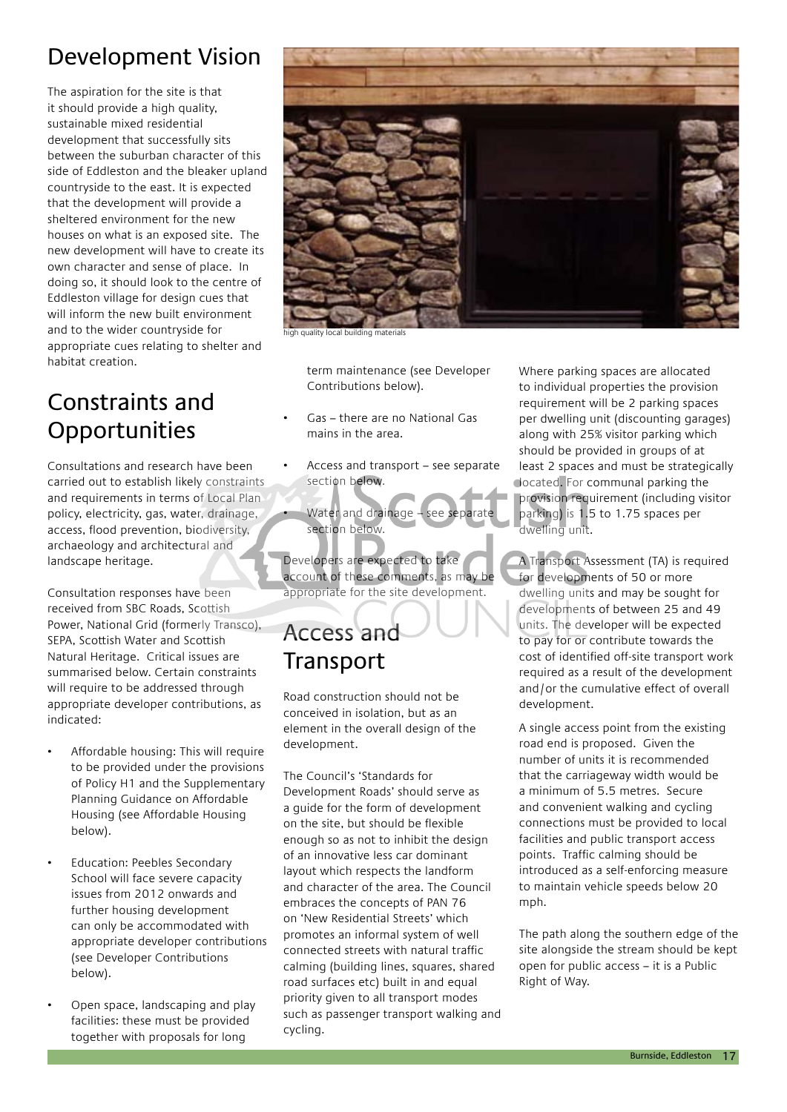### Development Vision

The aspiration for the site is that it should provide a high quality. sustainable mixed residential development that successfully sits between the suburban character of this side of Eddleston and the bleaker upland countryside to the east. It is expected that the development will provide a sheltered environment for the new houses on what is an exposed site. The new development will have to create its own character and sense of place. In doing so, it should look to the centre of Eddleston village for design cues that will inform the new built environment and to the wider countryside for appropriate cues relating to shelter and habitat creation.

### Constraints and **Opportunities**

Consultations and research have been carried out to establish likely constraints and requirements in terms of Local Plan policy, electricity, gas, water, drainage, access, flood prevention, biodiversity, archaeology and architectural and landscape heritage.

Consultation responses have been received from SBC Roads, Scottish Power, National Grid (formerly Transco), SEPA, Scottish Water and Scottish Natural Heritage. Critical issues are summarised below. Certain constraints will require to be addressed through appropriate developer contributions, as indicated:

- Affordable housing: This will require to be provided under the provisions of Policy H1 and the Supplementary Planning Guidance on Affordable Housing (see Affordable Housing below).
- Education: Peebles Secondary School will face severe capacity issues from 2012 onwards and further housing development can only be accommodated with appropriate developer contributions (see Developer Contributions below).
- Open space, landscaping and play facilities: these must be provided together with proposals for long



ality local building materials

term maintenance (see Developer Contributions below).

- Gas there are no National Gas mains in the area.
- Access and transport see separate section below.
- Water and drainage see separate section below.

Developers are expected to take account of these comments, as may be appropriate for the site development.

### Access and **Transport**

Road construction should not be conceived in isolation, but as an element in the overall design of the development.

The Council's 'Standards for Development Roads' should serve as a guide for the form of development on the site, but should be flexible enough so as not to inhibit the design of an innovative less car dominant layout which respects the landform and character of the area. The Council embraces the concepts of PAN 76 on 'New Residential Streets' which promotes an informal system of well connected streets with natural traffic calming (building lines, squares, shared road surfaces etc) built in and equal priority given to all transport modes such as passenger transport walking and cycling.

Where parking spaces are allocated to individual properties the provision requirement will be 2 parking spaces per dwelling unit (discounting garages) along with 25% visitor parking which should be provided in groups of at least 2 spaces and must be strategically located. For communal parking the provision requirement (including visitor parking) is 1.5 to 1.75 spaces per dwelling unit.

A Transport Assessment (TA) is required for developments of 50 or more dwelling units and may be sought for developments of between 25 and 49 units. The developer will be expected to pay for or contribute towards the cost of identified off-site transport work required as a result of the development and/or the cumulative effect of overall development.

A single access point from the existing road end is proposed. Given the number of units it is recommended that the carriageway width would be a minimum of 5.5 metres. Secure and convenient walking and cycling connections must be provided to local facilities and public transport access points. Traffic calming should be introduced as a self-enforcing measure to maintain vehicle speeds below 20 mph.

The path along the southern edge of the site alongside the stream should be kept open for public access – it is a Public Right of Way.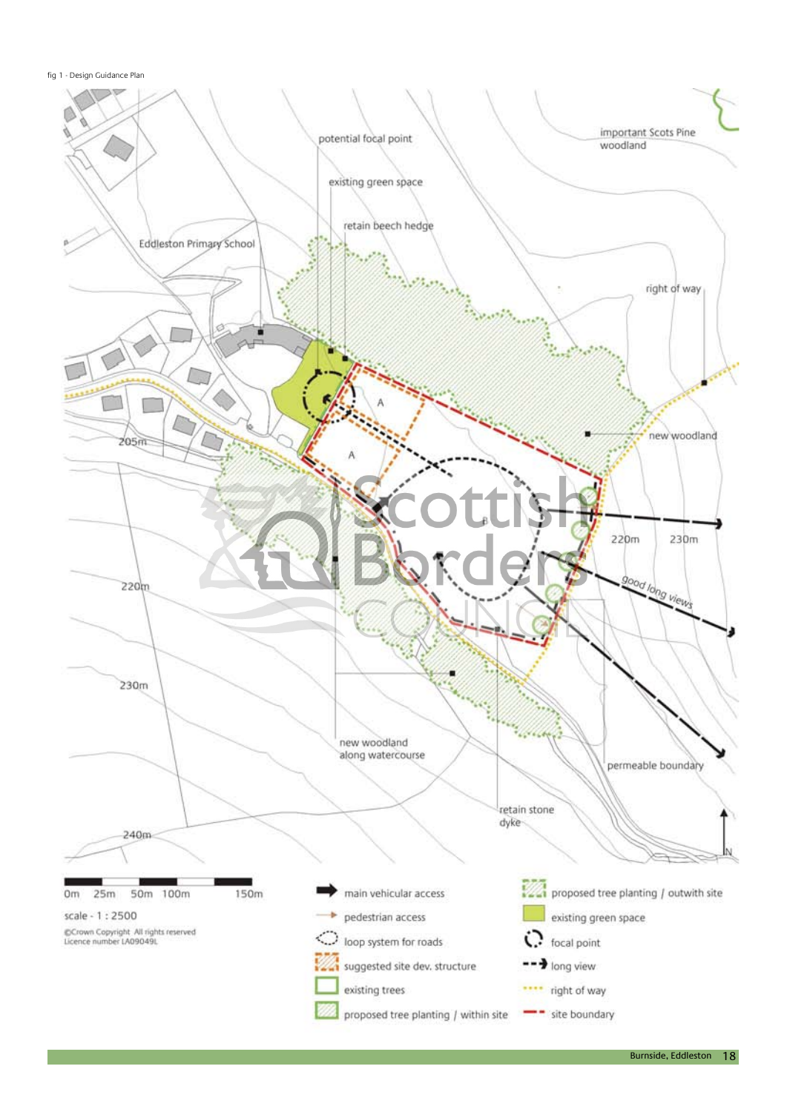fig 1 - Design Guidance Plan

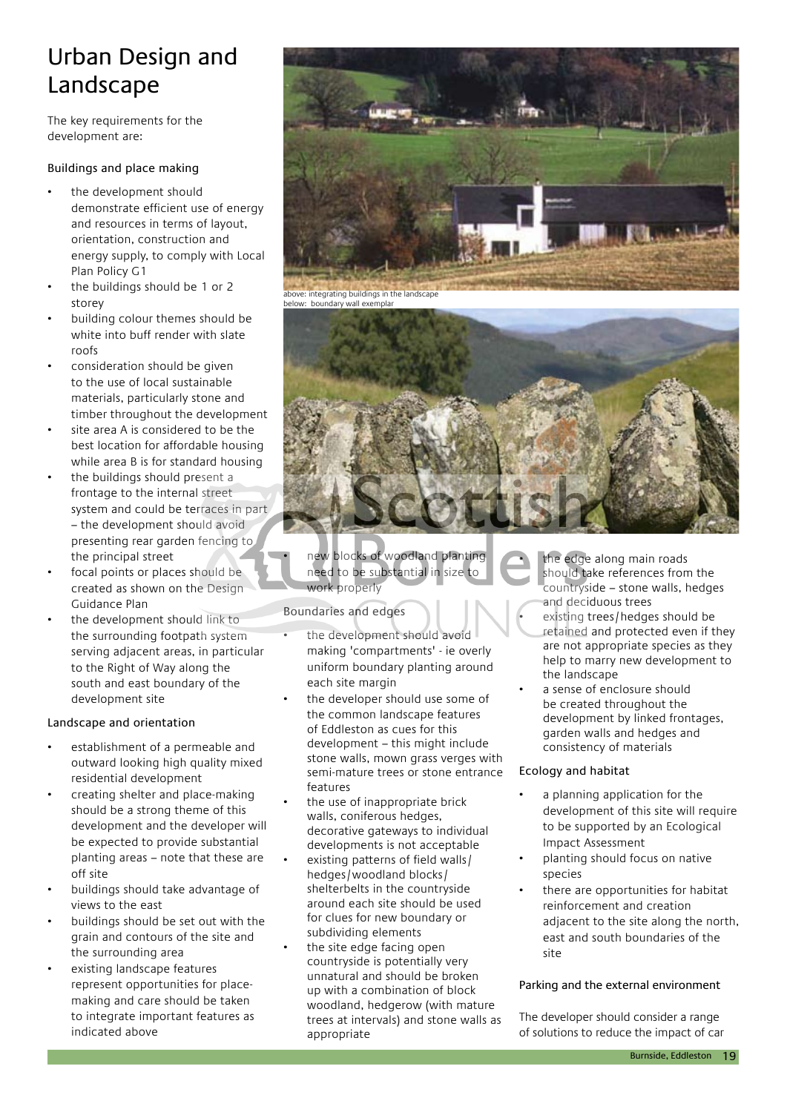### Urban Design and Landscape

The key requirements for the development are:

### Buildings and place making

- the development should demonstrate efficient use of energy and resources in terms of layout, orientation, construction and energy supply, to comply with Local Plan Policy G1
- the buildings should be 1 or 2 storey
- building colour themes should be white into buff render with slate roofs
- consideration should be given to the use of local sustainable materials, particularly stone and timber throughout the development
- site area A is considered to be the best location for affordable housing while area B is for standard housing
- the buildings should present a frontage to the internal street system and could be terraces in part – the development should avoid presenting rear garden fencing to the principal street
- focal points or places should be created as shown on the Design Guidance Plan
- the development should link to the surrounding footpath system serving adjacent areas, in particular to the Right of Way along the south and east boundary of the development site

#### Landscape and orientation

- establishment of a permeable and outward looking high quality mixed residential development
- creating shelter and place-making should be a strong theme of this development and the developer will be expected to provide substantial planting areas – note that these are off site
- buildings should take advantage of views to the east
- buildings should be set out with the grain and contours of the site and the surrounding area
- existing landscape features represent opportunities for placemaking and care should be taken to integrate important features as indicated above





new blocks of woodland planting need to be substantial in size to work properly

#### Boundaries and edges

- the development should avoid making 'compartments' - ie overly uniform boundary planting around each site margin
- the developer should use some of the common landscape features of Eddleston as cues for this development – this might include stone walls, mown grass verges with semi-mature trees or stone entrance features
- the use of inappropriate brick walls, coniferous hedges, decorative gateways to individual developments is not acceptable
- existing patterns of field walls/ hedges/woodland blocks/ shelterbelts in the countryside around each site should be used for clues for new boundary or subdividing elements
- the site edge facing open countryside is potentially very unnatural and should be broken up with a combination of block woodland, hedgerow (with mature trees at intervals) and stone walls as appropriate
- the edge along main roads should take references from the countryside – stone walls, hedges and deciduous trees
- existing trees/hedges should be retained and protected even if they are not appropriate species as they help to marry new development to the landscape
- a sense of enclosure should be created throughout the development by linked frontages, garden walls and hedges and consistency of materials

#### Ecology and habitat

- a planning application for the development of this site will require to be supported by an Ecological Impact Assessment
- planting should focus on native species
- there are opportunities for habitat reinforcement and creation adjacent to the site along the north, east and south boundaries of the site

#### Parking and the external environment

The developer should consider a range of solutions to reduce the impact of car